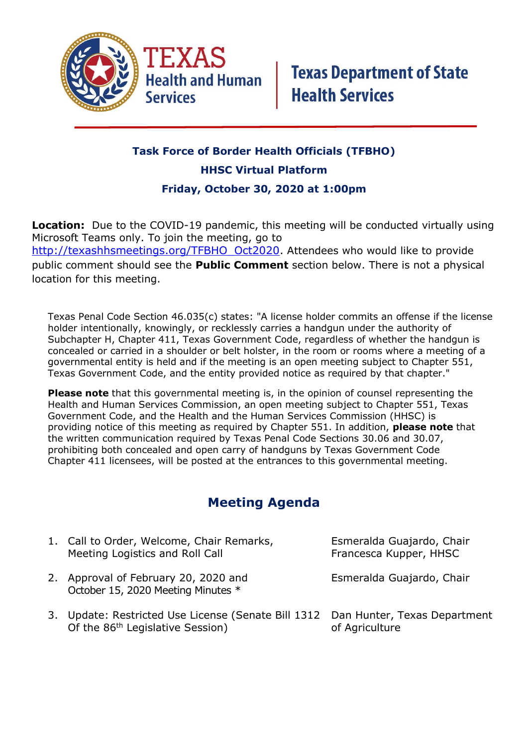

## **Task Force of Border Health Officials (TFBHO) HHSC Virtual Platform Friday, October 30, 2020 at 1:00pm**

**Location:** Due to the COVID-19 pandemic, this meeting will be conducted virtually using Microsoft Teams only. To join the meeting, go to [http://texashhsmeetings.org/TFBHO\\_Oct2020.](http://texashhsmeetings.org/TFBHO_Oct2020) Attendees who would like to provide public comment should see the **Public Comment** section below. There is not a physical location for this meeting.

Texas Penal Code Section 46.035(c) states: "A license holder commits an offense if the license holder intentionally, knowingly, or recklessly carries a handgun under the authority of Subchapter H, Chapter 411, Texas Government Code, regardless of whether the handgun is concealed or carried in a shoulder or belt holster, in the room or rooms where a meeting of a governmental entity is held and if the meeting is an open meeting subject to Chapter 551, Texas Government Code, and the entity provided notice as required by that chapter."

**Please note** that this governmental meeting is, in the opinion of counsel representing the Health and Human Services Commission, an open meeting subject to Chapter 551, Texas Government Code, and the Health and the Human Services Commission (HHSC) is providing notice of this meeting as required by Chapter 551. In addition, **please note** that the written communication required by Texas Penal Code Sections 30.06 and 30.07, prohibiting both concealed and open carry of handguns by Texas Government Code Chapter 411 licensees, will be posted at the entrances to this governmental meeting.

## **Meeting Agenda**

|    | 1. Call to Order, Welcome, Chair Remarks,<br>Meeting Logistics and Roll Call                                                  | Esmeralda Guajardo, Chair<br>Francesca Kupper, HHSC |
|----|-------------------------------------------------------------------------------------------------------------------------------|-----------------------------------------------------|
|    | 2. Approval of February 20, 2020 and<br>October 15, 2020 Meeting Minutes *                                                    | Esmeralda Guajardo, Chair                           |
| 3. | Update: Restricted Use License (Senate Bill 1312 Dan Hunter, Texas Department<br>Of the 86 <sup>th</sup> Legislative Session) | of Agriculture                                      |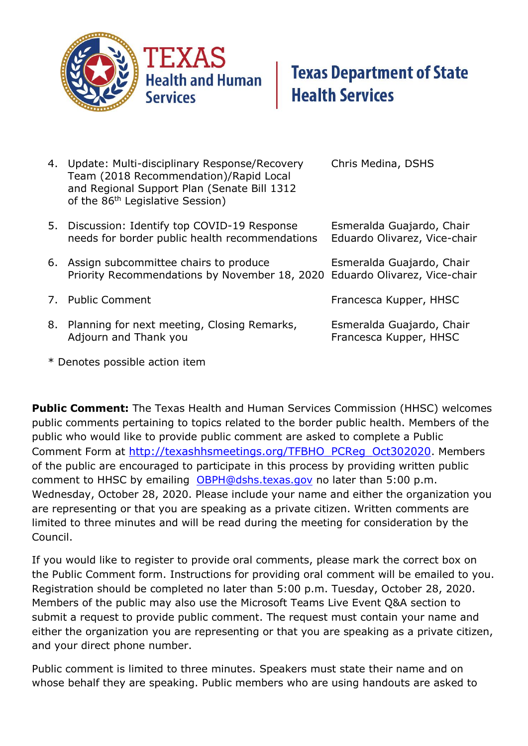

- 4. Update: Multi-disciplinary Response/Recovery Chris Medina, DSHS Team (2018 Recommendation)/Rapid Local and Regional Support Plan (Senate Bill 1312 of the 86<sup>th</sup> Legislative Session) 5. Discussion: Identify top COVID-19 Response Esmeralda Guajardo, Chair needs for border public health recommendations Eduardo Olivarez, Vice-chair 6. Assign subcommittee chairs to produce Esmeralda Guajardo, Chair Priority Recommendations by November 18, 2020 Eduardo Olivarez, Vice-chair 7. Public Comment **Francesca Kupper, HHSC** 8. Planning for next meeting, Closing Remarks, Esmeralda Guajardo, Chair Adjourn and Thank you **Francesca Kupper, HHSC**
- \* Denotes possible action item

**Public Comment:** The Texas Health and Human Services Commission (HHSC) welcomes public comments pertaining to topics related to the border public health. Members of the public who would like to provide public comment are asked to complete a Public Comment Form at [http://texashhsmeetings.org/TFBHO\\_PCReg\\_Oct302020](http://texashhsmeetings.org/TFBHO_PCReg_Oct302020). Members of the public are encouraged to participate in this process by providing written public comment to HHSC by emailing [OBPH@dshs.texas.gov](mailto:OBPH@dshs.texas.gov) no later than 5:00 p.m. Wednesday, October 28, 2020. Please include your name and either the organization you are representing or that you are speaking as a private citizen. Written comments are limited to three minutes and will be read during the meeting for consideration by the Council.

If you would like to register to provide oral comments, please mark the correct box on the Public Comment form. Instructions for providing oral comment will be emailed to you. Registration should be completed no later than 5:00 p.m. Tuesday, October 28, 2020. Members of the public may also use the Microsoft Teams Live Event Q&A section to submit a request to provide public comment. The request must contain your name and either the organization you are representing or that you are speaking as a private citizen, and your direct phone number.

Public comment is limited to three minutes. Speakers must state their name and on whose behalf they are speaking. Public members who are using handouts are asked to